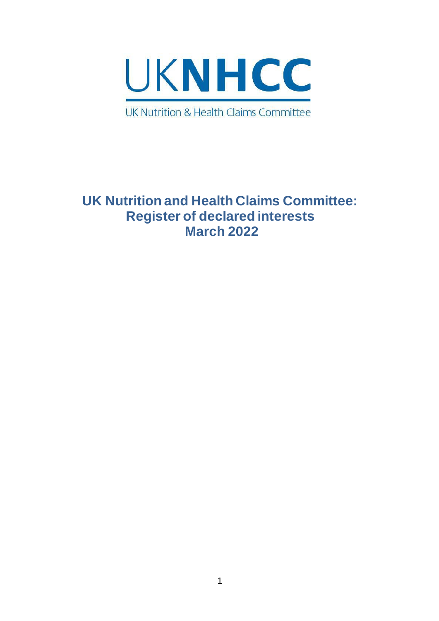

# **UK Nutrition and Health Claims Committee: Register of declared interests March 2022**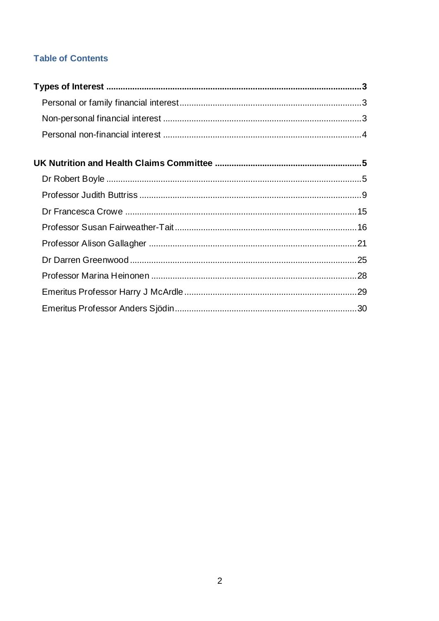# **Table of Contents**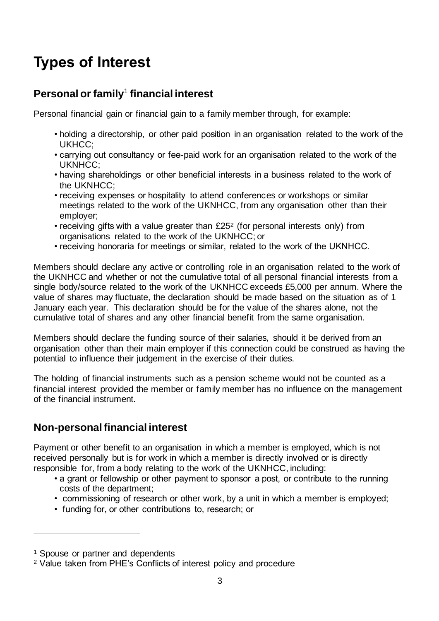# <span id="page-2-0"></span>**Types of Interest**

# <span id="page-2-1"></span>**Personal or family**<sup>1</sup> **financial interest**

Personal financial gain or financial gain to a family member through, for example:

- holding a directorship, or other paid position in an organisation related to the work of the UKHCC;
- carrying out consultancy or fee-paid work for an organisation related to the work of the UKNHCC;
- having shareholdings or other beneficial interests in a business related to the work of the UKNHCC;
- receiving expenses or hospitality to attend conferences or workshops or similar meetings related to the work of the UKNHCC, from any organisation other than their employer;
- receiving gifts with a value greater than £25<sup>2</sup> (for personal interests only) from organisations related to the work of the UKNHCC; or
- receiving honoraria for meetings or similar, related to the work of the UKNHCC.

Members should declare any active or controlling role in an organisation related to the work of the UKNHCC and whether or not the cumulative total of all personal financial interests from a single body/source related to the work of the UKNHCC exceeds £5,000 per annum. Where the value of shares may fluctuate, the declaration should be made based on the situation as of 1 January each year. This declaration should be for the value of the shares alone, not the cumulative total of shares and any other financial benefit from the same organisation.

Members should declare the funding source of their salaries, should it be derived from an organisation other than their main employer if this connection could be construed as having the potential to influence their judgement in the exercise of their duties.

The holding of financial instruments such as a pension scheme would not be counted as a financial interest provided the member or family member has no influence on the management of the financial instrument.

# <span id="page-2-2"></span>**Non-personal financial interest**

Payment or other benefit to an organisation in which a member is employed, which is not received personally but is for work in which a member is directly involved or is directly responsible for, from a body relating to the work of the UKNHCC, including:

- a grant or fellowship or other payment to sponsor a post, or contribute to the running costs of the department;
- commissioning of research or other work, by a unit in which a member is employed;
- funding for, or other contributions to, research; or

<sup>1</sup> Spouse or partner and dependents

<sup>2</sup> Value taken from PHE's Conflicts of interest policy and procedure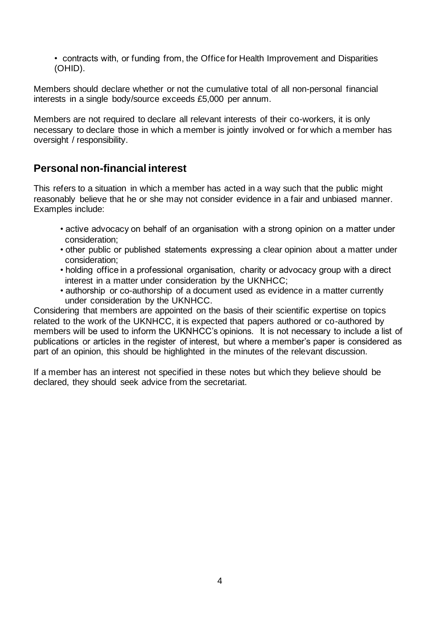• contracts with, or funding from, the Office for Health Improvement and Disparities (OHID).

Members should declare whether or not the cumulative total of all non-personal financial interests in a single body/source exceeds £5,000 per annum.

Members are not required to declare all relevant interests of their co-workers, it is only necessary to declare those in which a member is jointly involved or for which a member has oversight / responsibility.

# <span id="page-3-0"></span>**Personal non-financial interest**

This refers to a situation in which a member has acted in a way such that the public might reasonably believe that he or she may not consider evidence in a fair and unbiased manner. Examples include:

- active advocacy on behalf of an organisation with a strong opinion on a matter under consideration;
- other public or published statements expressing a clear opinion about a matter under consideration;
- holding office in a professional organisation, charity or advocacy group with a direct interest in a matter under consideration by the UKNHCC;
- authorship or co-authorship of a document used as evidence in a matter currently under consideration by the UKNHCC.

Considering that members are appointed on the basis of their scientific expertise on topics related to the work of the UKNHCC, it is expected that papers authored or co-authored by members will be used to inform the UKNHCC's opinions. It is not necessary to include a list of publications or articles in the register of interest, but where a member's paper is considered as part of an opinion, this should be highlighted in the minutes of the relevant discussion.

If a member has an interest not specified in these notes but which they believe should be declared, they should seek advice from the secretariat.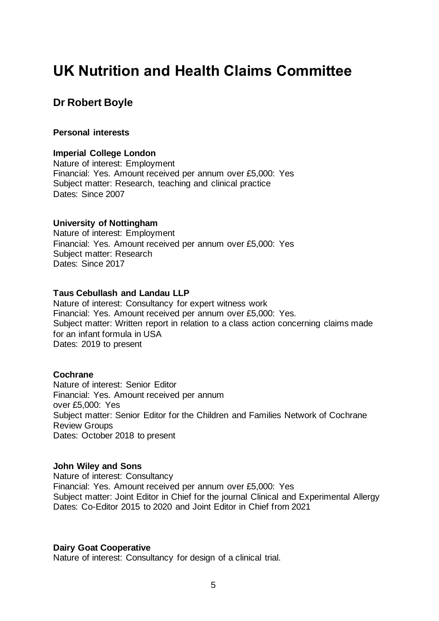# <span id="page-4-0"></span>**UK Nutrition and Health Claims Committee**

# <span id="page-4-1"></span>**Dr Robert Boyle**

#### **Personal interests**

#### **Imperial College London**

Nature of interest: Employment Financial: Yes. Amount received per annum over £5,000: Yes Subject matter: Research, teaching and clinical practice Dates: Since 2007

#### **University of Nottingham**

Nature of interest: Employment Financial: Yes. Amount received per annum over £5,000: Yes Subject matter: Research Dates: Since 2017

#### **Taus Cebullash and Landau LLP**

Nature of interest: Consultancy for expert witness work Financial: Yes. Amount received per annum over £5,000: Yes. Subject matter: Written report in relation to a class action concerning claims made for an infant formula in USA Dates: 2019 to present

#### **Cochrane**

Nature of interest: Senior Editor Financial: Yes. Amount received per annum over £5,000: Yes Subject matter: Senior Editor for the Children and Families Network of Cochrane Review Groups Dates: October 2018 to present

#### **John Wiley and Sons**

Nature of interest: Consultancy Financial: Yes. Amount received per annum over £5,000: Yes Subject matter: Joint Editor in Chief for the journal Clinical and Experimental Allergy Dates: Co-Editor 2015 to 2020 and Joint Editor in Chief from 2021

#### **Dairy Goat Cooperative**

Nature of interest: Consultancy for design of a clinical trial.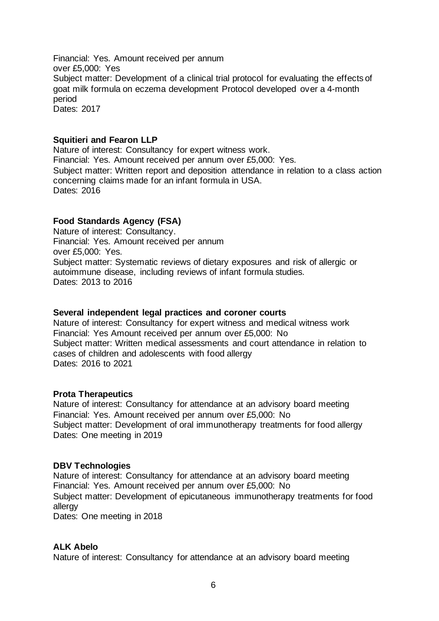Financial: Yes. Amount received per annum over £5,000: Yes Subject matter: Development of a clinical trial protocol for evaluating the effects of goat milk formula on eczema development Protocol developed over a 4-month period Dates: 2017

#### **Squitieri and Fearon LLP**

Nature of interest: Consultancy for expert witness work. Financial: Yes. Amount received per annum over £5,000: Yes. Subject matter: Written report and deposition attendance in relation to a class action concerning claims made for an infant formula in USA. Dates: 2016

## **Food Standards Agency (FSA)**

Nature of interest: Consultancy. Financial: Yes. Amount received per annum over £5,000: Yes. Subject matter: Systematic reviews of dietary exposures and risk of allergic or autoimmune disease, including reviews of infant formula studies. Dates: 2013 to 2016

#### **Several independent legal practices and coroner courts**

Nature of interest: Consultancy for expert witness and medical witness work Financial: Yes Amount received per annum over £5,000: No Subject matter: Written medical assessments and court attendance in relation to cases of children and adolescents with food allergy Dates: 2016 to 2021

#### **Prota Therapeutics**

Nature of interest: Consultancy for attendance at an advisory board meeting Financial: Yes. Amount received per annum over £5,000: No Subject matter: Development of oral immunotherapy treatments for food allergy Dates: One meeting in 2019

#### **DBV Technologies**

Nature of interest: Consultancy for attendance at an advisory board meeting Financial: Yes. Amount received per annum over £5,000: No Subject matter: Development of epicutaneous immunotherapy treatments for food allergy Dates: One meeting in 2018

#### **ALK Abelo**

Nature of interest: Consultancy for attendance at an advisory board meeting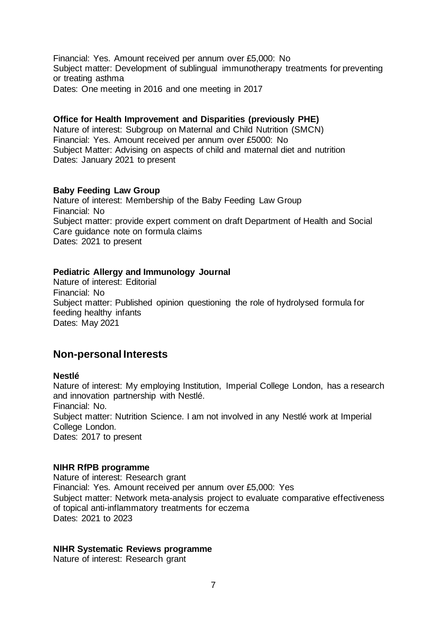Financial: Yes. Amount received per annum over £5,000: No Subject matter: Development of sublingual immunotherapy treatments for preventing or treating asthma Dates: One meeting in 2016 and one meeting in 2017

#### **Office for Health Improvement and Disparities (previously PHE)**

Nature of interest: Subgroup on Maternal and Child Nutrition (SMCN) Financial: Yes. Amount received per annum over £5000: No Subject Matter: Advising on aspects of child and maternal diet and nutrition Dates: January 2021 to present

## **Baby Feeding Law Group**

Nature of interest: Membership of the Baby Feeding Law Group Financial: No Subject matter: provide expert comment on draft Department of Health and Social Care guidance note on formula claims Dates: 2021 to present

## **Pediatric Allergy and Immunology Journal**

Nature of interest: Editorial Financial: No Subject matter: Published opinion questioning the role of hydrolysed formula for feeding healthy infants Dates: May 2021

## **Non-personal Interests**

#### **Nestlé**

Nature of interest: My employing Institution, Imperial College London, has a research and innovation partnership with Nestlé. Financial: No. Subject matter: Nutrition Science. I am not involved in any Nestlé work at Imperial College London. Dates: 2017 to present

#### **NIHR RfPB programme**

Nature of interest: Research grant Financial: Yes. Amount received per annum over £5,000: Yes Subject matter: Network meta-analysis project to evaluate comparative effectiveness of topical anti-inflammatory treatments for eczema Dates: 2021 to 2023

#### **NIHR Systematic Reviews programme**

Nature of interest: Research grant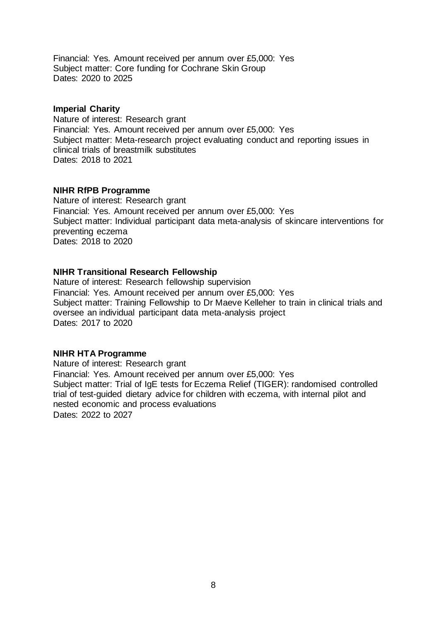Financial: Yes. Amount received per annum over £5,000: Yes Subject matter: Core funding for Cochrane Skin Group Dates: 2020 to 2025

#### **Imperial Charity**

Nature of interest: Research grant Financial: Yes. Amount received per annum over £5,000: Yes Subject matter: Meta-research project evaluating conduct and reporting issues in clinical trials of breastmilk substitutes Dates: 2018 to 2021

#### **NIHR RfPB Programme**

Nature of interest: Research grant Financial: Yes. Amount received per annum over £5,000: Yes Subject matter: Individual participant data meta-analysis of skincare interventions for preventing eczema Dates: 2018 to 2020

#### **NIHR Transitional Research Fellowship**

Nature of interest: Research fellowship supervision Financial: Yes. Amount received per annum over £5,000: Yes Subject matter: Training Fellowship to Dr Maeve Kelleher to train in clinical trials and oversee an individual participant data meta-analysis project Dates: 2017 to 2020

#### **NIHR HTA Programme**

Nature of interest: Research grant Financial: Yes. Amount received per annum over £5,000: Yes Subject matter: Trial of IgE tests for Eczema Relief (TIGER): randomised controlled trial of test-guided dietary advice for children with eczema, with internal pilot and nested economic and process evaluations Dates: 2022 to 2027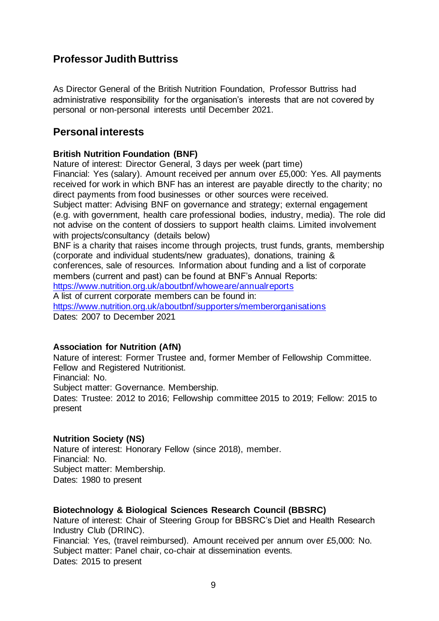# <span id="page-8-0"></span>**Professor Judith Buttriss**

As Director General of the British Nutrition Foundation, Professor Buttriss had administrative responsibility for the organisation's interests that are not covered by personal or non-personal interests until December 2021.

## **Personal interests**

## **British Nutrition Foundation (BNF)**

Nature of interest: Director General, 3 days per week (part time) Financial: Yes (salary). Amount received per annum over £5,000: Yes. All payments received for work in which BNF has an interest are payable directly to the charity; no direct payments from food businesses or other sources were received. Subject matter: Advising BNF on governance and strategy; external engagement

(e.g. with government, health care professional bodies, industry, media). The role did not advise on the content of dossiers to support health claims. Limited involvement with projects/consultancy (details below)

BNF is a charity that raises income through projects, trust funds, grants, membership (corporate and individual students/new graduates), donations, training &

conferences, sale of resources. Information about funding and a list of corporate members (current and past) can be found at BNF's Annual Reports:

<https://www.nutrition.org.uk/aboutbnf/whoweare/annualreports>

A list of current corporate members can be found in:

<https://www.nutrition.org.uk/aboutbnf/supporters/memberorganisations> Dates: 2007 to December 2021

## **Association for Nutrition (AfN)**

Nature of interest: Former Trustee and, former Member of Fellowship Committee. Fellow and Registered Nutritionist.

Financial: No.

Subject matter: Governance. Membership.

Dates: Trustee: 2012 to 2016; Fellowship committee 2015 to 2019; Fellow: 2015 to present

## **Nutrition Society (NS)**

Nature of interest: Honorary Fellow (since 2018), member. Financial: No. Subject matter: Membership. Dates: 1980 to present

## **Biotechnology & Biological Sciences Research Council (BBSRC)**

Nature of interest: Chair of Steering Group for BBSRC's Diet and Health Research Industry Club (DRINC).

Financial: Yes, (travel reimbursed). Amount received per annum over £5,000: No. Subject matter: Panel chair, co-chair at dissemination events.

Dates: 2015 to present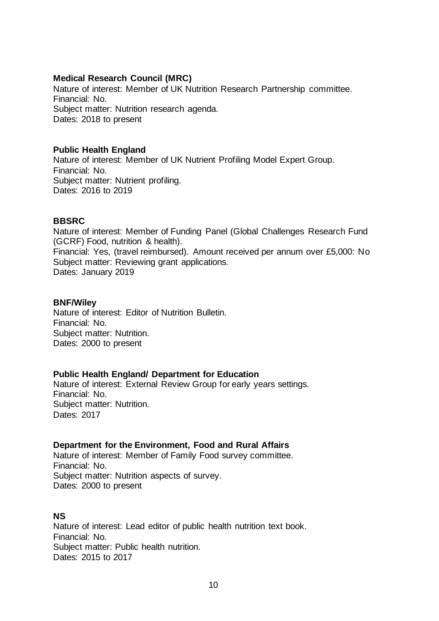#### **Medical Research Council (MRC)**

Nature of interest: Member of UK Nutrition Research Partnership committee. Financial: No. Subject matter: Nutrition research agenda. Dates: 2018 to present

#### **Public Health England**

Nature of interest: Member of UK Nutrient Profiling Model Expert Group. Financial: No. Subject matter: Nutrient profiling. Dates: 2016 to 2019

#### **BBSRC**

Nature of interest: Member of Funding Panel (Global Challenges Research Fund (GCRF) Food, nutrition & health). Financial: Yes, (travel reimbursed). Amount received per annum over £5,000: No Subject matter: Reviewing grant applications. Dates: January 2019

#### **BNF/Wiley**

Nature of interest: Editor of Nutrition Bulletin. Financial: No. Subject matter: Nutrition. Dates: 2000 to present

#### **Public Health England/ Department for Education**

Nature of interest: External Review Group for early years settings. Financial: No. Subject matter: Nutrition. Dates: 2017

## **Department for the Environment, Food and Rural Affairs**

Nature of interest: Member of Family Food survey committee. Financial: No. Subject matter: Nutrition aspects of survey. Dates: 2000 to present

## **NS**

Nature of interest: Lead editor of public health nutrition text book. Financial: No. Subject matter: Public health nutrition. Dates: 2015 to 2017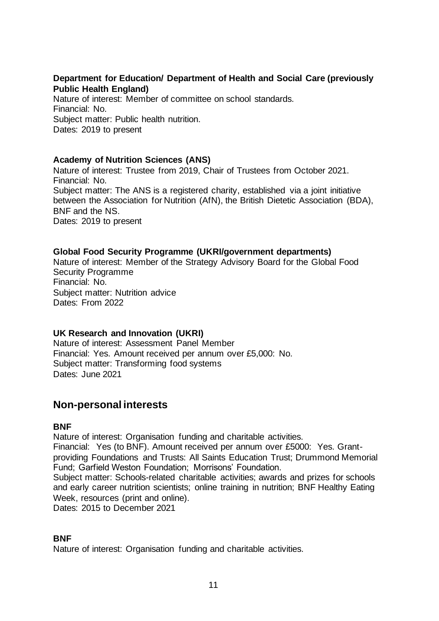## **Department for Education/ Department of Health and Social Care (previously Public Health England)**

Nature of interest: Member of committee on school standards. Financial: No. Subject matter: Public health nutrition. Dates: 2019 to present

## **Academy of Nutrition Sciences (ANS)**

Nature of interest: Trustee from 2019, Chair of Trustees from October 2021. Financial: No. Subject matter: The ANS is a registered charity, established via a joint initiative between the Association for Nutrition (AfN), the British Dietetic Association (BDA), BNF and the NS. Dates: 2019 to present

## **Global Food Security Programme (UKRI/government departments)**

Nature of interest: Member of the Strategy Advisory Board for the Global Food Security Programme Financial: No. Subject matter: Nutrition advice Dates: From 2022

## **UK Research and Innovation (UKRI)**

Nature of interest: Assessment Panel Member Financial: Yes. Amount received per annum over £5,000: No. Subject matter: Transforming food systems Dates: June 2021

# **Non-personal interests**

## **BNF**

Nature of interest: Organisation funding and charitable activities.

Financial: Yes (to BNF). Amount received per annum over £5000: Yes. Grantproviding Foundations and Trusts: All Saints Education Trust; Drummond Memorial Fund; Garfield Weston Foundation; Morrisons' Foundation.

Subject matter: Schools-related charitable activities; awards and prizes for schools and early career nutrition scientists; online training in nutrition; BNF Healthy Eating Week, resources (print and online).

Dates: 2015 to December 2021

## **BNF**

Nature of interest: Organisation funding and charitable activities.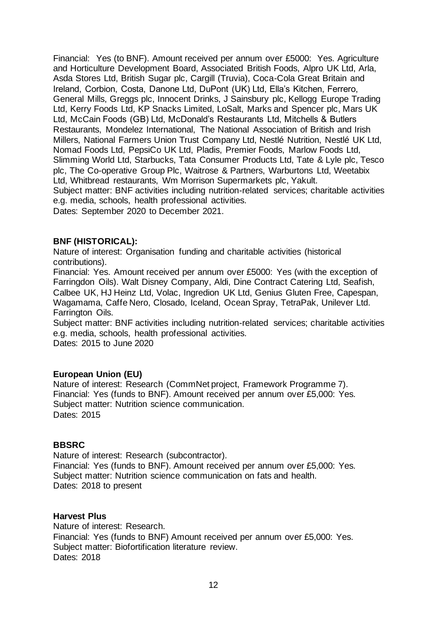Financial: Yes (to BNF). Amount received per annum over £5000: Yes. Agriculture and Horticulture Development Board, Associated British Foods, Alpro UK Ltd, Arla, Asda Stores Ltd, British Sugar plc, Cargill (Truvia), Coca-Cola Great Britain and Ireland, Corbion, Costa, Danone Ltd, DuPont (UK) Ltd, Ella's Kitchen, Ferrero, General Mills, Greggs plc, Innocent Drinks, J Sainsbury plc, Kellogg Europe Trading Ltd, Kerry Foods Ltd, KP Snacks Limited, LoSalt, Marks and Spencer plc, Mars UK Ltd, McCain Foods (GB) Ltd, McDonald's Restaurants Ltd, Mitchells & Butlers Restaurants, Mondelez International, The National Association of British and Irish Millers, National Farmers Union Trust Company Ltd, Nestlé Nutrition, Nestlé UK Ltd, Nomad Foods Ltd, PepsiCo UK Ltd, Pladis, Premier Foods, Marlow Foods Ltd, Slimming World Ltd, Starbucks, Tata Consumer Products Ltd, Tate & Lyle plc, Tesco plc, The Co-operative Group Plc, Waitrose & Partners, Warburtons Ltd, Weetabix Ltd, Whitbread restaurants, Wm Morrison Supermarkets plc, Yakult. Subject matter: BNF activities including nutrition-related services; charitable activities e.g. media, schools, health professional activities. Dates: September 2020 to December 2021.

## **BNF (HISTORICAL):**

Nature of interest: Organisation funding and charitable activities (historical contributions).

Financial: Yes. Amount received per annum over £5000: Yes (with the exception of Farringdon Oils). Walt Disney Company, Aldi, Dine Contract Catering Ltd, Seafish, Calbee UK, HJ Heinz Ltd, Volac, Ingredion UK Ltd, Genius Gluten Free, Capespan, Wagamama, Caffe Nero, Closado, Iceland, Ocean Spray, TetraPak, Unilever Ltd. Farrington Oils.

Subject matter: BNF activities including nutrition-related services; charitable activities e.g. media, schools, health professional activities. Dates: 2015 to June 2020

## **European Union (EU)**

Nature of interest: Research (CommNet project, Framework Programme 7). Financial: Yes (funds to BNF). Amount received per annum over £5,000: Yes. Subject matter: Nutrition science communication. Dates: 2015

## **BBSRC**

Nature of interest: Research (subcontractor). Financial: Yes (funds to BNF). Amount received per annum over £5,000: Yes. Subject matter: Nutrition science communication on fats and health. Dates: 2018 to present

## **Harvest Plus**

Nature of interest: Research. Financial: Yes (funds to BNF) Amount received per annum over £5,000: Yes. Subject matter: Biofortification literature review. Dates: 2018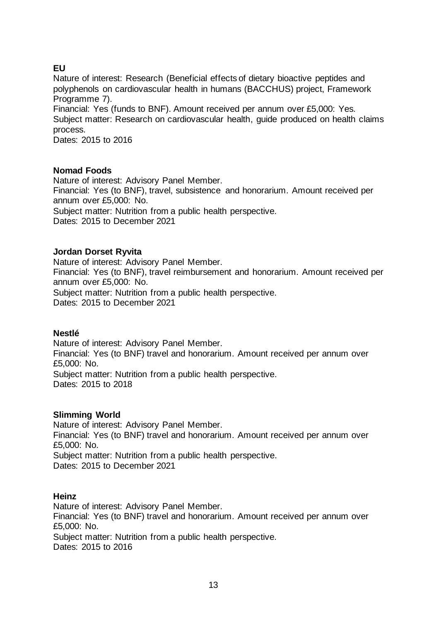## **EU**

Nature of interest: Research (Beneficial effects of dietary bioactive peptides and polyphenols on cardiovascular health in humans (BACCHUS) project, Framework Programme 7).

Financial: Yes (funds to BNF). Amount received per annum over £5,000: Yes. Subject matter: Research on cardiovascular health, guide produced on health claims process.

Dates: 2015 to 2016

## **Nomad Foods**

Nature of interest: Advisory Panel Member. Financial: Yes (to BNF), travel, subsistence and honorarium. Amount received per annum over £5,000: No. Subject matter: Nutrition from a public health perspective. Dates: 2015 to December 2021

## **Jordan Dorset Ryvita**

Nature of interest: Advisory Panel Member. Financial: Yes (to BNF), travel reimbursement and honorarium. Amount received per annum over £5,000: No. Subject matter: Nutrition from a public health perspective. Dates: 2015 to December 2021

## **Nestlé**

Nature of interest: Advisory Panel Member. Financial: Yes (to BNF) travel and honorarium. Amount received per annum over £5,000: No. Subject matter: Nutrition from a public health perspective. Dates: 2015 to 2018

## **Slimming World**

Nature of interest: Advisory Panel Member. Financial: Yes (to BNF) travel and honorarium. Amount received per annum over £5,000: No. Subject matter: Nutrition from a public health perspective. Dates: 2015 to December 2021

## **Heinz**

Nature of interest: Advisory Panel Member. Financial: Yes (to BNF) travel and honorarium. Amount received per annum over £5,000: No. Subject matter: Nutrition from a public health perspective. Dates: 2015 to 2016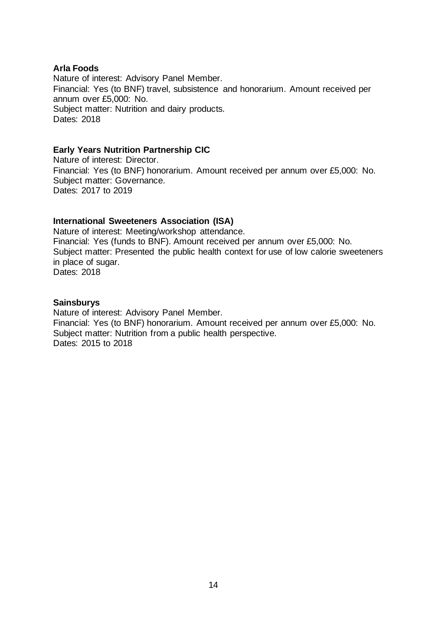#### **Arla Foods**

Nature of interest: Advisory Panel Member. Financial: Yes (to BNF) travel, subsistence and honorarium. Amount received per annum over £5,000: No. Subject matter: Nutrition and dairy products. Dates: 2018

#### **Early Years Nutrition Partnership CIC**

Nature of interest: Director. Financial: Yes (to BNF) honorarium. Amount received per annum over £5,000: No. Subject matter: Governance. Dates: 2017 to 2019

#### **International Sweeteners Association (ISA)**

Nature of interest: Meeting/workshop attendance. Financial: Yes (funds to BNF). Amount received per annum over £5,000: No. Subject matter: Presented the public health context for use of low calorie sweeteners in place of sugar. Dates: 2018

#### **Sainsburys**

Nature of interest: Advisory Panel Member. Financial: Yes (to BNF) honorarium. Amount received per annum over £5,000: No. Subject matter: Nutrition from a public health perspective. Dates: 2015 to 2018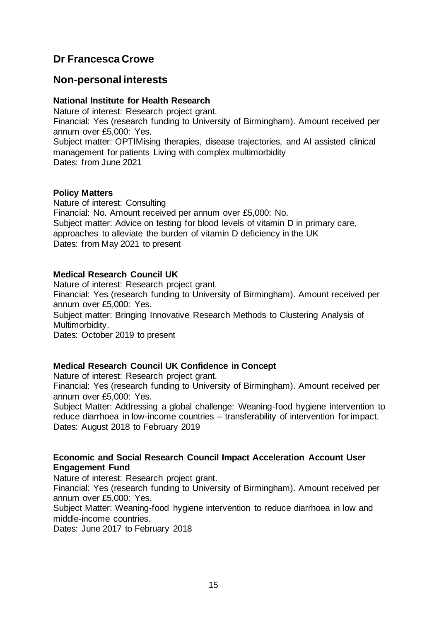# <span id="page-14-0"></span>**Dr Francesca Crowe**

## **Non-personal interests**

## **National Institute for Health Research**

Nature of interest: Research project grant. Financial: Yes (research funding to University of Birmingham). Amount received per annum over £5,000: Yes. Subject matter: OPTIMising therapies, disease trajectories, and AI assisted clinical

management for patients Living with complex multimorbidity Dates: from June 2021

## **Policy Matters**

Nature of interest: Consulting Financial: No. Amount received per annum over £5,000: No. Subject matter: Advice on testing for blood levels of vitamin D in primary care, approaches to alleviate the burden of vitamin D deficiency in the UK Dates: from May 2021 to present

## **Medical Research Council UK**

Nature of interest: Research project grant. Financial: Yes (research funding to University of Birmingham). Amount received per annum over £5,000: Yes. Subject matter: Bringing Innovative Research Methods to Clustering Analysis of Multimorbidity.

Dates: October 2019 to present

## **Medical Research Council UK Confidence in Concept**

Nature of interest: Research project grant.

Financial: Yes (research funding to University of Birmingham). Amount received per annum over £5,000: Yes.

Subject Matter: Addressing a global challenge: Weaning-food hygiene intervention to reduce diarrhoea in low-income countries – transferability of intervention for impact. Dates: August 2018 to February 2019

## **Economic and Social Research Council Impact Acceleration Account User Engagement Fund**

Nature of interest: Research project grant.

Financial: Yes (research funding to University of Birmingham). Amount received per annum over £5,000: Yes.

Subject Matter: Weaning-food hygiene intervention to reduce diarrhoea in low and middle-income countries.

Dates: June 2017 to February 2018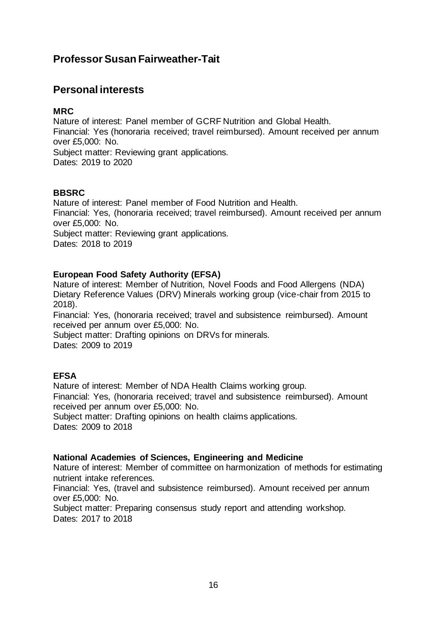# <span id="page-15-0"></span>**Professor Susan Fairweather-Tait**

# **Personal interests**

## **MRC**

Nature of interest: Panel member of GCRF Nutrition and Global Health. Financial: Yes (honoraria received; travel reimbursed). Amount received per annum over £5,000: No. Subject matter: Reviewing grant applications. Dates: 2019 to 2020

## **BBSRC**

Nature of interest: Panel member of Food Nutrition and Health. Financial: Yes, (honoraria received; travel reimbursed). Amount received per annum over £5,000: No. Subject matter: Reviewing grant applications.

Dates: 2018 to 2019

## **European Food Safety Authority (EFSA)**

Nature of interest: Member of Nutrition, Novel Foods and Food Allergens (NDA) Dietary Reference Values (DRV) Minerals working group (vice-chair from 2015 to 2018).

Financial: Yes, (honoraria received; travel and subsistence reimbursed). Amount received per annum over £5,000: No.

Subject matter: Drafting opinions on DRVs for minerals. Dates: 2009 to 2019

## **EFSA**

Nature of interest: Member of NDA Health Claims working group. Financial: Yes, (honoraria received; travel and subsistence reimbursed). Amount received per annum over £5,000: No. Subject matter: Drafting opinions on health claims applications.

Dates: 2009 to 2018

## **National Academies of Sciences, Engineering and Medicine**

Nature of interest: Member of committee on harmonization of methods for estimating nutrient intake references.

Financial: Yes, (travel and subsistence reimbursed). Amount received per annum over £5,000: No.

Subject matter: Preparing consensus study report and attending workshop. Dates: 2017 to 2018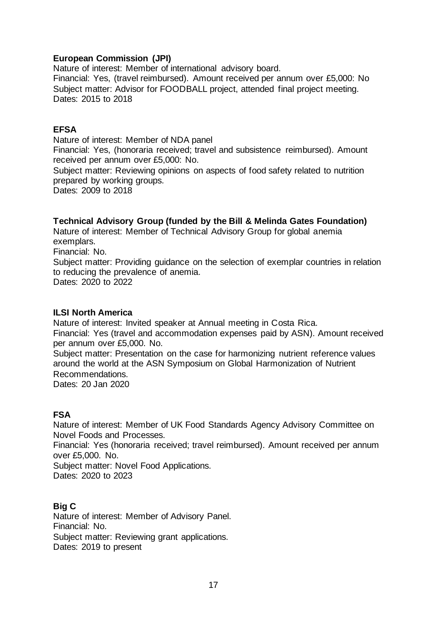## **European Commission (JPI)**

Nature of interest: Member of international advisory board. Financial: Yes, (travel reimbursed). Amount received per annum over £5,000: No Subject matter: Advisor for FOODBALL project, attended final project meeting. Dates: 2015 to 2018

## **EFSA**

Nature of interest: Member of NDA panel Financial: Yes, (honoraria received; travel and subsistence reimbursed). Amount received per annum over £5,000: No. Subject matter: Reviewing opinions on aspects of food safety related to nutrition prepared by working groups.

Dates: 2009 to 2018

## **Technical Advisory Group (funded by the Bill & Melinda Gates Foundation)**

Nature of interest: Member of Technical Advisory Group for global anemia exemplars.

Financial: No. Subject matter: Providing guidance on the selection of exemplar countries in relation to reducing the prevalence of anemia. Dates: 2020 to 2022

## **ILSI North America**

Nature of interest: Invited speaker at Annual meeting in Costa Rica. Financial: Yes (travel and accommodation expenses paid by ASN). Amount received per annum over £5,000. No. Subject matter: Presentation on the case for harmonizing nutrient reference values around the world at the ASN Symposium on Global Harmonization of Nutrient

Recommendations.

Dates: 20 Jan 2020

## **FSA**

Nature of interest: Member of UK Food Standards Agency Advisory Committee on Novel Foods and Processes.

Financial: Yes (honoraria received; travel reimbursed). Amount received per annum over £5,000. No.

Subject matter: Novel Food Applications. Dates: 2020 to 2023

## **Big C**

Nature of interest: Member of Advisory Panel. Financial: No. Subject matter: Reviewing grant applications. Dates: 2019 to present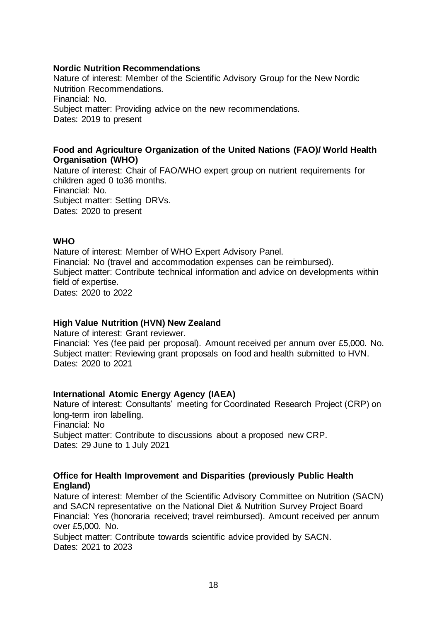#### **Nordic Nutrition Recommendations**

Nature of interest: Member of the Scientific Advisory Group for the New Nordic Nutrition Recommendations. Financial: No. Subject matter: Providing advice on the new recommendations. Dates: 2019 to present

#### **Food and Agriculture Organization of the United Nations (FAO)/ World Health Organisation (WHO)**

Nature of interest: Chair of FAO/WHO expert group on nutrient requirements for children aged 0 to36 months. Financial: No. Subject matter: Setting DRVs. Dates: 2020 to present

#### **WHO**

Nature of interest: Member of WHO Expert Advisory Panel. Financial: No (travel and accommodation expenses can be reimbursed). Subject matter: Contribute technical information and advice on developments within field of expertise. Dates: 2020 to 2022

## **High Value Nutrition (HVN) New Zealand**

Nature of interest: Grant reviewer.

Financial: Yes (fee paid per proposal). Amount received per annum over £5,000. No. Subject matter: Reviewing grant proposals on food and health submitted to HVN. Dates: 2020 to 2021

## **International Atomic Energy Agency (IAEA)**

Nature of interest: Consultants' meeting for Coordinated Research Project (CRP) on long-term iron labelling. Financial: No Subject matter: Contribute to discussions about a proposed new CRP. Dates: 29 June to 1 July 2021

#### **Office for Health Improvement and Disparities (previously Public Health England)**

Nature of interest: Member of the Scientific Advisory Committee on Nutrition (SACN) and SACN representative on the National Diet & Nutrition Survey Project Board Financial: Yes (honoraria received; travel reimbursed). Amount received per annum over £5,000. No.

Subject matter: Contribute towards scientific advice provided by SACN. Dates: 2021 to 2023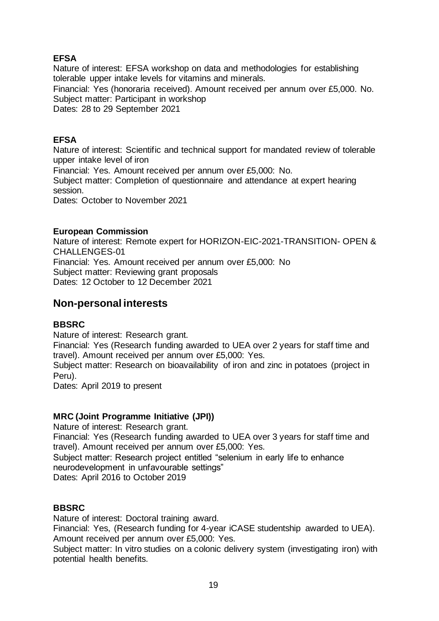## **EFSA**

Nature of interest: EFSA workshop on data and methodologies for establishing tolerable upper intake levels for vitamins and minerals. Financial: Yes (honoraria received). Amount received per annum over £5,000. No.

Subject matter: Participant in workshop

Dates: 28 to 29 September 2021

## **EFSA**

Nature of interest: Scientific and technical support for mandated review of tolerable upper intake level of iron

Financial: Yes. Amount received per annum over £5,000: No.

Subject matter: Completion of questionnaire and attendance at expert hearing session.

Dates: October to November 2021

## **European Commission**

Nature of interest: Remote expert for HORIZON-EIC-2021-TRANSITION- OPEN & CHALLENGES-01 Financial: Yes. Amount received per annum over £5,000: No Subject matter: Reviewing grant proposals Dates: 12 October to 12 December 2021

# **Non-personal interests**

## **BBSRC**

Nature of interest: Research grant.

Financial: Yes (Research funding awarded to UEA over 2 years for staff time and travel). Amount received per annum over £5,000: Yes.

Subject matter: Research on bioavailability of iron and zinc in potatoes (project in Peru).

Dates: April 2019 to present

## **MRC (Joint Programme Initiative (JPI))**

Nature of interest: Research grant.

Financial: Yes (Research funding awarded to UEA over 3 years for staff time and travel). Amount received per annum over £5,000: Yes.

Subject matter: Research project entitled "selenium in early life to enhance neurodevelopment in unfavourable settings"

Dates: April 2016 to October 2019

## **BBSRC**

Nature of interest: Doctoral training award.

Financial: Yes, (Research funding for 4-year iCASE studentship awarded to UEA). Amount received per annum over £5,000: Yes.

Subject matter: In vitro studies on a colonic delivery system (investigating iron) with potential health benefits.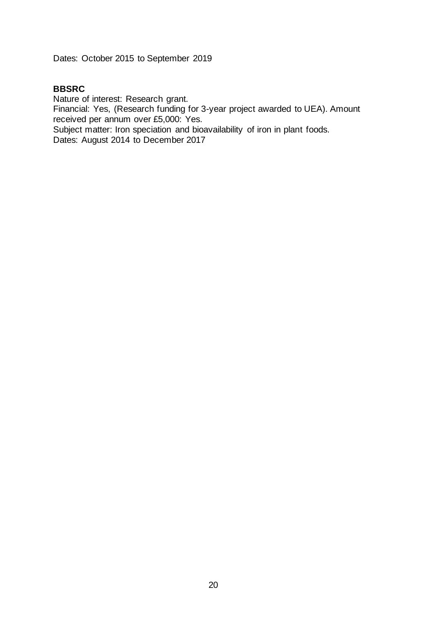Dates: October 2015 to September 2019

## **BBSRC**

Nature of interest: Research grant. Financial: Yes, (Research funding for 3-year project awarded to UEA). Amount received per annum over £5,000: Yes.

Subject matter: Iron speciation and bioavailability of iron in plant foods. Dates: August 2014 to December 2017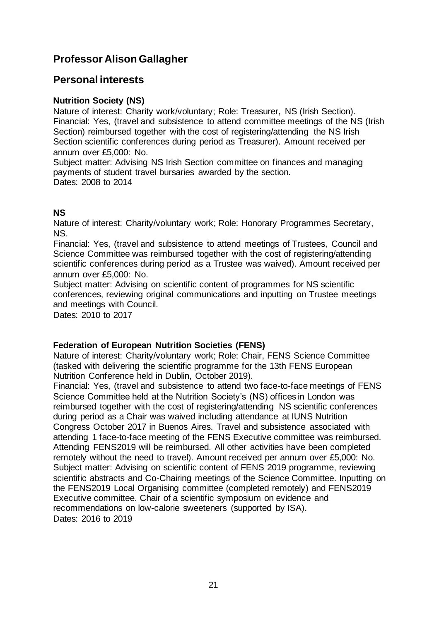# <span id="page-20-0"></span>**Professor Alison Gallagher**

## **Personal interests**

## **Nutrition Society (NS)**

Nature of interest: Charity work/voluntary; Role: Treasurer, NS (Irish Section). Financial: Yes, (travel and subsistence to attend committee meetings of the NS (Irish Section) reimbursed together with the cost of registering/attending the NS Irish Section scientific conferences during period as Treasurer). Amount received per annum over £5,000: No.

Subject matter: Advising NS Irish Section committee on finances and managing payments of student travel bursaries awarded by the section. Dates: 2008 to 2014

## **NS**

Nature of interest: Charity/voluntary work; Role: Honorary Programmes Secretary, NS.

Financial: Yes, (travel and subsistence to attend meetings of Trustees, Council and Science Committee was reimbursed together with the cost of registering/attending scientific conferences during period as a Trustee was waived). Amount received per annum over £5,000: No.

Subject matter: Advising on scientific content of programmes for NS scientific conferences, reviewing original communications and inputting on Trustee meetings and meetings with Council.

Dates: 2010 to 2017

## **Federation of European Nutrition Societies (FENS)**

Nature of interest: Charity/voluntary work; Role: Chair, FENS Science Committee (tasked with delivering the scientific programme for the 13th FENS European Nutrition Conference held in Dublin, October 2019).

Financial: Yes, (travel and subsistence to attend two face-to-face meetings of FENS Science Committee held at the Nutrition Society's (NS) offices in London was reimbursed together with the cost of registering/attending NS scientific conferences during period as a Chair was waived including attendance at IUNS Nutrition Congress October 2017 in Buenos Aires. Travel and subsistence associated with attending 1 face-to-face meeting of the FENS Executive committee was reimbursed. Attending FENS2019 will be reimbursed. All other activities have been completed remotely without the need to travel). Amount received per annum over £5,000: No. Subject matter: Advising on scientific content of FENS 2019 programme, reviewing scientific abstracts and Co-Chairing meetings of the Science Committee. Inputting on the FENS2019 Local Organising committee (completed remotely) and FENS2019 Executive committee. Chair of a scientific symposium on evidence and recommendations on low-calorie sweeteners (supported by ISA). Dates: 2016 to 2019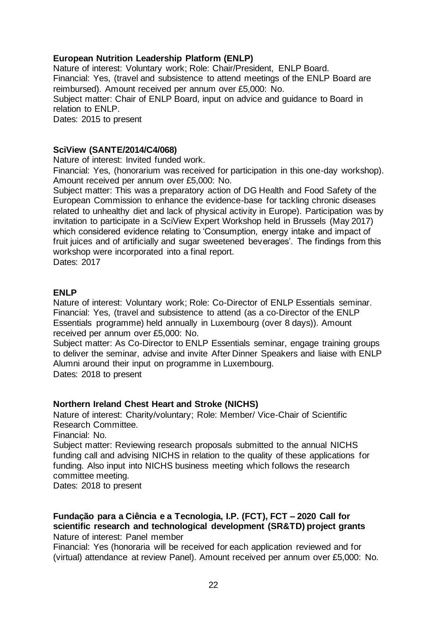## **European Nutrition Leadership Platform (ENLP)**

Nature of interest: Voluntary work; Role: Chair/President, ENLP Board. Financial: Yes, (travel and subsistence to attend meetings of the ENLP Board are reimbursed). Amount received per annum over £5,000: No. Subject matter: Chair of ENLP Board, input on advice and guidance to Board in relation to ENLP.

Dates: 2015 to present

#### **SciView (SANTE/2014/C4/068)**

Nature of interest: Invited funded work.

Financial: Yes, (honorarium was received for participation in this one-day workshop). Amount received per annum over £5,000: No.

Subject matter: This was a preparatory action of DG Health and Food Safety of the European Commission to enhance the evidence-base for tackling chronic diseases related to unhealthy diet and lack of physical activity in Europe). Participation was by invitation to participate in a SciView Expert Workshop held in Brussels (May 2017) which considered evidence relating to 'Consumption, energy intake and impact of fruit juices and of artificially and sugar sweetened beverages'. The findings from this workshop were incorporated into a final report.

Dates: 2017

#### **ENLP**

Nature of interest: Voluntary work; Role: Co-Director of ENLP Essentials seminar. Financial: Yes, (travel and subsistence to attend (as a co-Director of the ENLP Essentials programme) held annually in Luxembourg (over 8 days)). Amount received per annum over £5,000: No.

Subject matter: As Co-Director to ENLP Essentials seminar, engage training groups to deliver the seminar, advise and invite After Dinner Speakers and liaise with ENLP Alumni around their input on programme in Luxembourg.

Dates: 2018 to present

## **Northern Ireland Chest Heart and Stroke (NICHS)**

Nature of interest: Charity/voluntary; Role: Member/ Vice-Chair of Scientific Research Committee.

Financial: No.

Subject matter: Reviewing research proposals submitted to the annual NICHS funding call and advising NICHS in relation to the quality of these applications for funding. Also input into NICHS business meeting which follows the research committee meeting.

Dates: 2018 to present

#### **Fundação para a Ciência e a Tecnologia, I.P. (FCT), FCT – 2020 Call for scientific research and technological development (SR&TD) project grants** Nature of interest: Panel member

Financial: Yes (honoraria will be received for each application reviewed and for (virtual) attendance at review Panel). Amount received per annum over £5,000: No.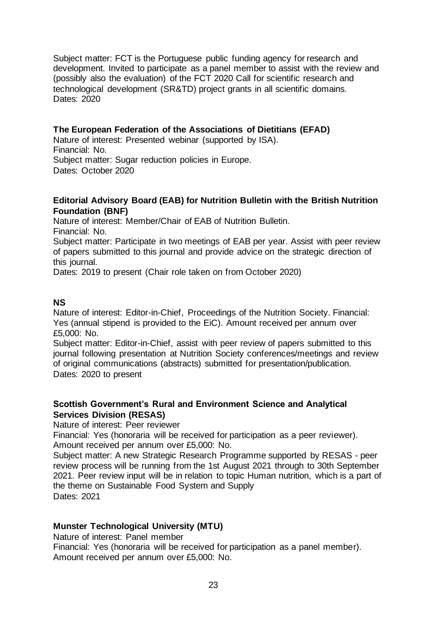Subject matter: FCT is the Portuguese public funding agency for research and development. Invited to participate as a panel member to assist with the review and (possibly also the evaluation) of the FCT 2020 Call for scientific research and technological development (SR&TD) project grants in all scientific domains. Dates: 2020

## **The European Federation of the Associations of Dietitians (EFAD)**

Nature of interest: Presented webinar (supported by ISA). Financial: No. Subject matter: Sugar reduction policies in Europe. Dates: October 2020

## **Editorial Advisory Board (EAB) for Nutrition Bulletin with the British Nutrition Foundation (BNF)**

Nature of interest: Member/Chair of EAB of Nutrition Bulletin. Financial: No.

Subject matter: Participate in two meetings of EAB per year. Assist with peer review of papers submitted to this journal and provide advice on the strategic direction of this journal.

Dates: 2019 to present (Chair role taken on from October 2020)

## **NS**

Nature of interest: Editor-in-Chief, Proceedings of the Nutrition Society. Financial: Yes (annual stipend is provided to the EiC). Amount received per annum over £5,000: No.

Subject matter: Editor-in-Chief, assist with peer review of papers submitted to this journal following presentation at Nutrition Society conferences/meetings and review of original communications (abstracts) submitted for presentation/publication. Dates: 2020 to present

## **Scottish Government's Rural and Environment Science and Analytical Services Division (RESAS)**

Nature of interest: Peer reviewer

Financial: Yes (honoraria will be received for participation as a peer reviewer). Amount received per annum over £5,000: No.

Subject matter: A new Strategic Research Programme supported by RESAS - peer review process will be running from the 1st August 2021 through to 30th September 2021. Peer review input will be in relation to topic Human nutrition, which is a part of the theme on Sustainable Food System and Supply Dates: 2021

## **Munster Technological University (MTU)**

Nature of interest: Panel member

Financial: Yes (honoraria will be received for participation as a panel member). Amount received per annum over £5,000: No.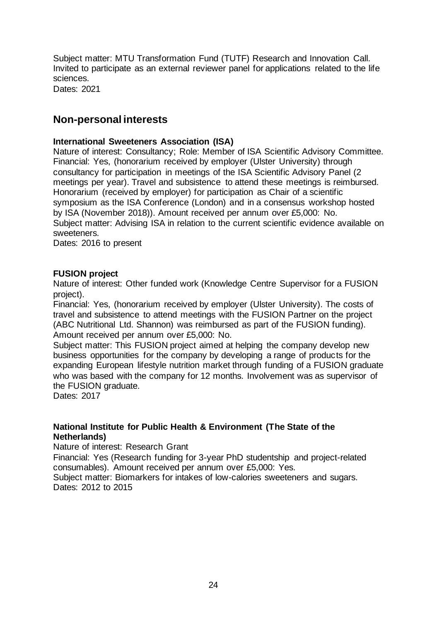Subject matter: MTU Transformation Fund (TUTF) Research and Innovation Call. Invited to participate as an external reviewer panel for applications related to the life sciences.

Dates: 2021

# **Non-personal interests**

## **International Sweeteners Association (ISA)**

Nature of interest: Consultancy; Role: Member of ISA Scientific Advisory Committee. Financial: Yes, (honorarium received by employer (Ulster University) through consultancy for participation in meetings of the ISA Scientific Advisory Panel (2 meetings per year). Travel and subsistence to attend these meetings is reimbursed. Honorarium (received by employer) for participation as Chair of a scientific symposium as the ISA Conference (London) and in a consensus workshop hosted by ISA (November 2018)). Amount received per annum over £5,000: No. Subject matter: Advising ISA in relation to the current scientific evidence available on sweeteners.

Dates: 2016 to present

#### **FUSION project**

Nature of interest: Other funded work (Knowledge Centre Supervisor for a FUSION project).

Financial: Yes, (honorarium received by employer (Ulster University). The costs of travel and subsistence to attend meetings with the FUSION Partner on the project (ABC Nutritional Ltd. Shannon) was reimbursed as part of the FUSION funding). Amount received per annum over £5,000: No.

Subject matter: This FUSION project aimed at helping the company develop new business opportunities for the company by developing a range of products for the expanding European lifestyle nutrition market through funding of a FUSION graduate who was based with the company for 12 months. Involvement was as supervisor of the FUSION graduate.

Dates: 2017

## **National Institute for Public Health & Environment (The State of the Netherlands)**

Nature of interest: Research Grant

Financial: Yes (Research funding for 3-year PhD studentship and project-related consumables). Amount received per annum over £5,000: Yes.

Subject matter: Biomarkers for intakes of low-calories sweeteners and sugars. Dates: 2012 to 2015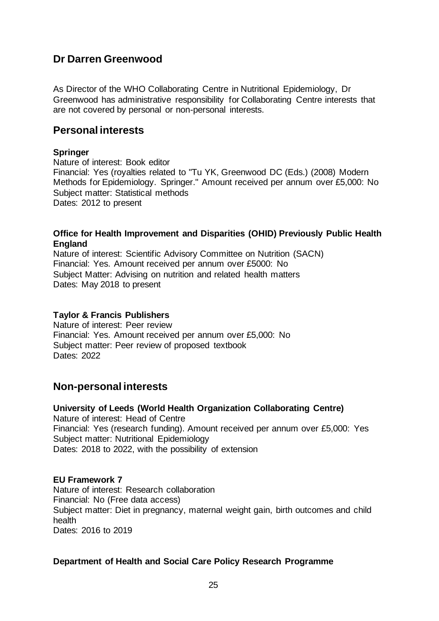# <span id="page-24-0"></span>**Dr Darren Greenwood**

As Director of the WHO Collaborating Centre in Nutritional Epidemiology, Dr Greenwood has administrative responsibility for Collaborating Centre interests that are not covered by personal or non-personal interests.

## **Personal interests**

## **Springer**

Nature of interest: Book editor Financial: Yes (royalties related to "Tu YK, Greenwood DC (Eds.) (2008) Modern Methods for Epidemiology. Springer." Amount received per annum over £5,000: No Subject matter: Statistical methods Dates: 2012 to present

#### **Office for Health Improvement and Disparities (OHID) Previously Public Health England**

Nature of interest: Scientific Advisory Committee on Nutrition (SACN) Financial: Yes. Amount received per annum over £5000: No Subject Matter: Advising on nutrition and related health matters Dates: May 2018 to present

## **Taylor & Francis Publishers**

Nature of interest: Peer review Financial: Yes. Amount received per annum over £5,000: No Subject matter: Peer review of proposed textbook Dates: 2022

## **Non-personal interests**

**University of Leeds (World Health Organization Collaborating Centre)** Nature of interest: Head of Centre Financial: Yes (research funding). Amount received per annum over £5,000: Yes Subject matter: Nutritional Epidemiology Dates: 2018 to 2022, with the possibility of extension

## **EU Framework 7**

Nature of interest: Research collaboration Financial: No (Free data access) Subject matter: Diet in pregnancy, maternal weight gain, birth outcomes and child health Dates: 2016 to 2019

## **Department of Health and Social Care Policy Research Programme**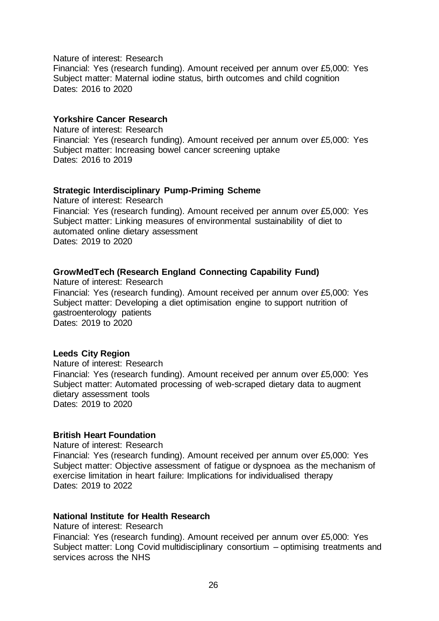#### Nature of interest: Research

Financial: Yes (research funding). Amount received per annum over £5,000: Yes Subject matter: Maternal jodine status, birth outcomes and child cognition Dates: 2016 to 2020

#### **Yorkshire Cancer Research**

Nature of interest: Research Financial: Yes (research funding). Amount received per annum over £5,000: Yes Subject matter: Increasing bowel cancer screening uptake Dates: 2016 to 2019

#### **Strategic Interdisciplinary Pump-Priming Scheme**

Nature of interest: Research Financial: Yes (research funding). Amount received per annum over £5,000: Yes Subject matter: Linking measures of environmental sustainability of diet to automated online dietary assessment Dates: 2019 to 2020

## **GrowMedTech (Research England Connecting Capability Fund)**

Nature of interest: Research Financial: Yes (research funding). Amount received per annum over £5,000: Yes Subject matter: Developing a diet optimisation engine to support nutrition of gastroenterology patients Dates: 2019 to 2020

#### **Leeds City Region**

Nature of interest: Research Financial: Yes (research funding). Amount received per annum over £5,000: Yes Subject matter: Automated processing of web-scraped dietary data to augment dietary assessment tools Dates: 2019 to 2020

## **British Heart Foundation**

Nature of interest: Research

Financial: Yes (research funding). Amount received per annum over £5,000: Yes Subject matter: Objective assessment of fatigue or dyspnoea as the mechanism of exercise limitation in heart failure: Implications for individualised therapy Dates: 2019 to 2022

#### **National Institute for Health Research**

Nature of interest: Research

Financial: Yes (research funding). Amount received per annum over £5,000: Yes Subject matter: Long Covid multidisciplinary consortium – optimising treatments and services across the NHS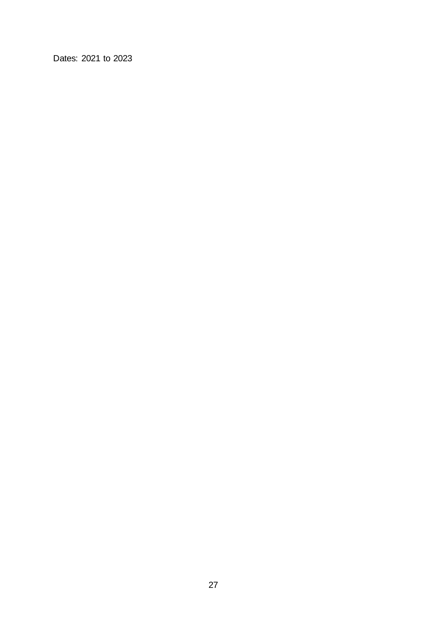Dates: 2021 to 2023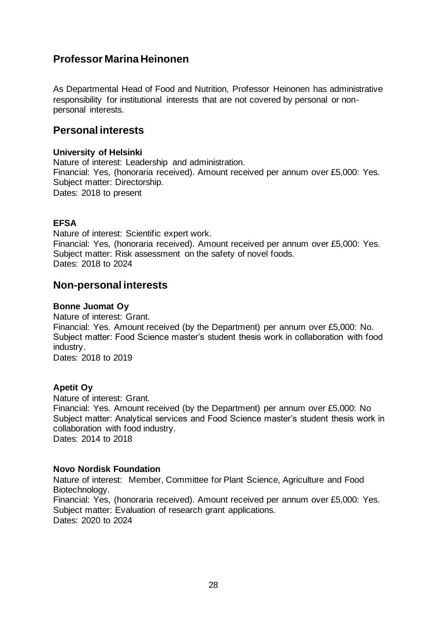# <span id="page-27-0"></span>**Professor Marina Heinonen**

As Departmental Head of Food and Nutrition, Professor Heinonen has administrative responsibility for institutional interests that are not covered by personal or nonpersonal interests.

## **Personal interests**

## **University of Helsinki**

Nature of interest: Leadership and administration. Financial: Yes, (honoraria received). Amount received per annum over £5,000: Yes. Subject matter: Directorship. Dates: 2018 to present

## **EFSA**

Nature of interest: Scientific expert work. Financial: Yes, (honoraria received). Amount received per annum over £5,000: Yes. Subject matter: Risk assessment on the safety of novel foods. Dates: 2018 to 2024

## **Non-personal interests**

## **Bonne Juomat Oy**

Nature of interest: Grant. Financial: Yes. Amount received (by the Department) per annum over £5,000: No. Subject matter: Food Science master's student thesis work in collaboration with food industry. Dates: 2018 to 2019

## **Apetit Oy**

Nature of interest: Grant. Financial: Yes. Amount received (by the Department) per annum over £5,000: No Subject matter: Analytical services and Food Science master's student thesis work in collaboration with food industry. Dates: 2014 to 2018

## **Novo Nordisk Foundation**

Nature of interest: Member, Committee for Plant Science, Agriculture and Food Biotechnology. Financial: Yes, (honoraria received). Amount received per annum over £5,000: Yes. Subject matter: Evaluation of research grant applications. Dates: 2020 to 2024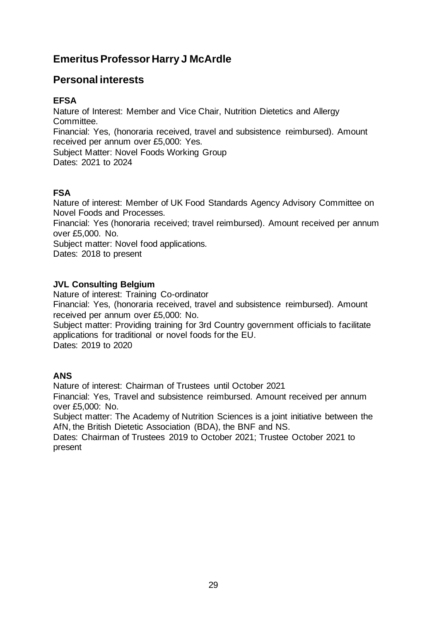# <span id="page-28-0"></span>**Emeritus Professor Harry J McArdle**

# **Personal interests**

## **EFSA**

Nature of Interest: Member and Vice Chair, Nutrition Dietetics and Allergy **Committee.** Financial: Yes, (honoraria received, travel and subsistence reimbursed). Amount received per annum over £5,000: Yes. Subject Matter: Novel Foods Working Group Dates: 2021 to 2024

## **FSA**

Nature of interest: Member of UK Food Standards Agency Advisory Committee on Novel Foods and Processes.

Financial: Yes (honoraria received; travel reimbursed). Amount received per annum over £5,000. No.

Subject matter: Novel food applications.

Dates: 2018 to present

## **JVL Consulting Belgium**

Nature of interest: Training Co-ordinator

Financial: Yes, (honoraria received, travel and subsistence reimbursed). Amount received per annum over £5,000: No.

Subject matter: Providing training for 3rd Country government officials to facilitate applications for traditional or novel foods for the EU. Dates: 2019 to 2020

**ANS**

Nature of interest: Chairman of Trustees until October 2021

Financial: Yes, Travel and subsistence reimbursed. Amount received per annum over £5,000: No.

Subject matter: The Academy of Nutrition Sciences is a joint initiative between the AfN, the British Dietetic Association (BDA), the BNF and NS.

Dates: Chairman of Trustees 2019 to October 2021; Trustee October 2021 to present